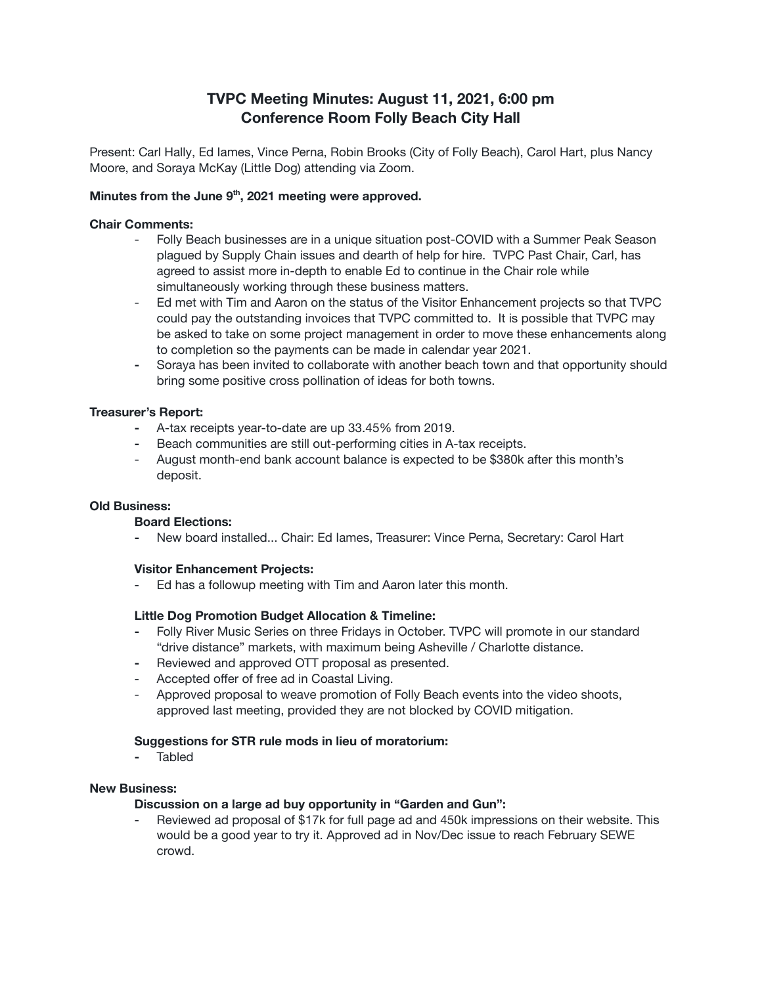# **TVPC Meeting Minutes: August 11, 2021, 6:00 pm Conference Room Folly Beach City Hall**

Present: Carl Hally, Ed Iames, Vince Perna, Robin Brooks (City of Folly Beach), Carol Hart, plus Nancy Moore, and Soraya McKay (Little Dog) attending via Zoom.

### **Minutes from the June 9 th , 2021 meeting were approved.**

#### **Chair Comments:**

- Folly Beach businesses are in a unique situation post-COVID with a Summer Peak Season plagued by Supply Chain issues and dearth of help for hire. TVPC Past Chair, Carl, has agreed to assist more in-depth to enable Ed to continue in the Chair role while simultaneously working through these business matters.
- Ed met with Tim and Aaron on the status of the Visitor Enhancement projects so that TVPC could pay the outstanding invoices that TVPC committed to. It is possible that TVPC may be asked to take on some project management in order to move these enhancements along to completion so the payments can be made in calendar year 2021.
- **-** Soraya has been invited to collaborate with another beach town and that opportunity should bring some positive cross pollination of ideas for both towns.

#### **Treasurer's Report:**

- **-** A-tax receipts year-to-date are up 33.45% from 2019.
- **-** Beach communities are still out-performing cities in A-tax receipts.
- August month-end bank account balance is expected to be \$380k after this month's deposit.

#### **Old Business:**

#### **Board Elections:**

**-** New board installed... Chair: Ed Iames, Treasurer: Vince Perna, Secretary: Carol Hart

#### **Visitor Enhancement Projects:**

- Ed has a followup meeting with Tim and Aaron later this month.

#### **Little Dog Promotion Budget Allocation & Timeline:**

- **-** Folly River Music Series on three Fridays in October. TVPC will promote in our standard "drive distance" markets, with maximum being Asheville / Charlotte distance.
- **-** Reviewed and approved OTT proposal as presented.
- Accepted offer of free ad in Coastal Living.
- Approved proposal to weave promotion of Folly Beach events into the video shoots, approved last meeting, provided they are not blocked by COVID mitigation.

#### **Suggestions for STR rule mods in lieu of moratorium:**

**-** Tabled

#### **New Business:**

#### **Discussion on a large ad buy opportunity in "Garden and Gun":**

- Reviewed ad proposal of \$17k for full page ad and 450k impressions on their website. This would be a good year to try it. Approved ad in Nov/Dec issue to reach February SEWE crowd.